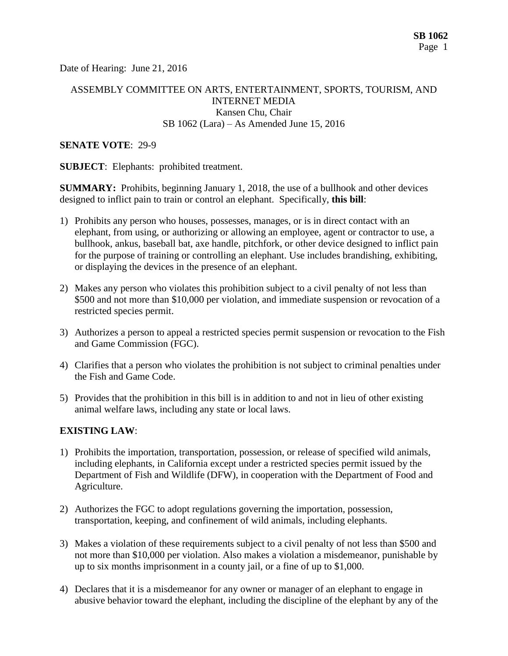Date of Hearing: June 21, 2016

## ASSEMBLY COMMITTEE ON ARTS, ENTERTAINMENT, SPORTS, TOURISM, AND INTERNET MEDIA Kansen Chu, Chair SB 1062 (Lara) – As Amended June 15, 2016

#### **SENATE VOTE**: 29-9

**SUBJECT**: Elephants: prohibited treatment.

**SUMMARY:** Prohibits, beginning January 1, 2018, the use of a bullhook and other devices designed to inflict pain to train or control an elephant. Specifically, **this bill**:

- 1) Prohibits any person who houses, possesses, manages, or is in direct contact with an elephant, from using, or authorizing or allowing an employee, agent or contractor to use, a bullhook, ankus, baseball bat, axe handle, pitchfork, or other device designed to inflict pain for the purpose of training or controlling an elephant. Use includes brandishing, exhibiting, or displaying the devices in the presence of an elephant.
- 2) Makes any person who violates this prohibition subject to a civil penalty of not less than \$500 and not more than \$10,000 per violation, and immediate suspension or revocation of a restricted species permit.
- 3) Authorizes a person to appeal a restricted species permit suspension or revocation to the Fish and Game Commission (FGC).
- 4) Clarifies that a person who violates the prohibition is not subject to criminal penalties under the Fish and Game Code.
- 5) Provides that the prohibition in this bill is in addition to and not in lieu of other existing animal welfare laws, including any state or local laws.

### **EXISTING LAW**:

- 1) Prohibits the importation, transportation, possession, or release of specified wild animals, including elephants, in California except under a restricted species permit issued by the Department of Fish and Wildlife (DFW), in cooperation with the Department of Food and Agriculture.
- 2) Authorizes the FGC to adopt regulations governing the importation, possession, transportation, keeping, and confinement of wild animals, including elephants.
- 3) Makes a violation of these requirements subject to a civil penalty of not less than \$500 and not more than \$10,000 per violation. Also makes a violation a misdemeanor, punishable by up to six months imprisonment in a county jail, or a fine of up to \$1,000.
- 4) Declares that it is a misdemeanor for any owner or manager of an elephant to engage in abusive behavior toward the elephant, including the discipline of the elephant by any of the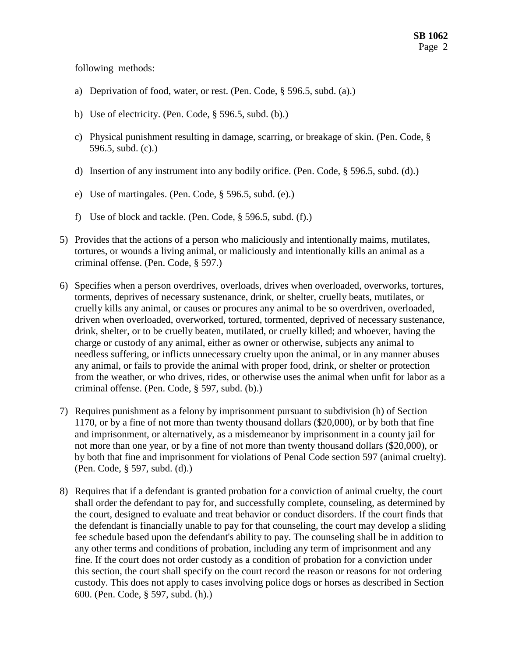following methods:

- a) Deprivation of food, water, or rest. (Pen. Code, § 596.5, subd. (a).)
- b) Use of electricity. (Pen. Code, § 596.5, subd. (b).)
- c) Physical punishment resulting in damage, scarring, or breakage of skin. (Pen. Code, § 596.5, subd. (c).)
- d) Insertion of any instrument into any bodily orifice. (Pen. Code, § 596.5, subd. (d).)
- e) Use of martingales. (Pen. Code, § 596.5, subd. (e).)
- f) Use of block and tackle. (Pen. Code, § 596.5, subd. (f).)
- 5) Provides that the actions of a person who maliciously and intentionally maims, mutilates, tortures, or wounds a living animal, or maliciously and intentionally kills an animal as a criminal offense. (Pen. Code, § 597.)
- 6) Specifies when a person overdrives, overloads, drives when overloaded, overworks, tortures, torments, deprives of necessary sustenance, drink, or shelter, cruelly beats, mutilates, or cruelly kills any animal, or causes or procures any animal to be so overdriven, overloaded, driven when overloaded, overworked, tortured, tormented, deprived of necessary sustenance, drink, shelter, or to be cruelly beaten, mutilated, or cruelly killed; and whoever, having the charge or custody of any animal, either as owner or otherwise, subjects any animal to needless suffering, or inflicts unnecessary cruelty upon the animal, or in any manner abuses any animal, or fails to provide the animal with proper food, drink, or shelter or protection from the weather, or who drives, rides, or otherwise uses the animal when unfit for labor as a criminal offense. (Pen. Code, § 597, subd. (b).)
- 7) Requires punishment as a felony by imprisonment pursuant to subdivision (h) of Section 1170, or by a fine of not more than twenty thousand dollars (\$20,000), or by both that fine and imprisonment, or alternatively, as a misdemeanor by imprisonment in a county jail for not more than one year, or by a fine of not more than twenty thousand dollars (\$20,000), or by both that fine and imprisonment for violations of Penal Code section 597 (animal cruelty). (Pen. Code, § 597, subd. (d).)
- 8) Requires that if a defendant is granted probation for a conviction of animal cruelty, the court shall order the defendant to pay for, and successfully complete, counseling, as determined by the court, designed to evaluate and treat behavior or conduct disorders. If the court finds that the defendant is financially unable to pay for that counseling, the court may develop a sliding fee schedule based upon the defendant's ability to pay. The counseling shall be in addition to any other terms and conditions of probation, including any term of imprisonment and any fine. If the court does not order custody as a condition of probation for a conviction under this section, the court shall specify on the court record the reason or reasons for not ordering custody. This does not apply to cases involving police dogs or horses as described in Section 600. (Pen. Code, § 597, subd. (h).)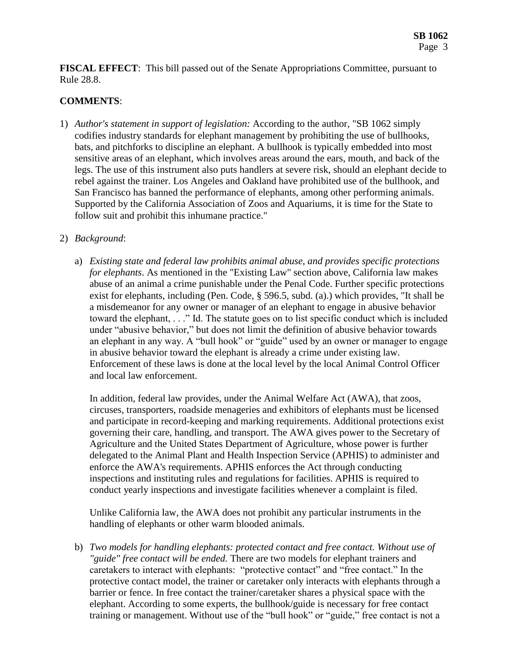**FISCAL EFFECT**: This bill passed out of the Senate Appropriations Committee, pursuant to Rule 28.8.

# **COMMENTS**:

1) *Author's statement in support of legislation:* According to the author, "SB 1062 simply codifies industry standards for elephant management by prohibiting the use of bullhooks, bats, and pitchforks to discipline an elephant. A bullhook is typically embedded into most sensitive areas of an elephant, which involves areas around the ears, mouth, and back of the legs. The use of this instrument also puts handlers at severe risk, should an elephant decide to rebel against the trainer. Los Angeles and Oakland have prohibited use of the bullhook, and San Francisco has banned the performance of elephants, among other performing animals. Supported by the California Association of Zoos and Aquariums, it is time for the State to follow suit and prohibit this inhumane practice."

## 2) *Background*:

a) *Existing state and federal law prohibits animal abuse, and provides specific protections for elephants*. As mentioned in the "Existing Law" section above, California law makes abuse of an animal a crime punishable under the Penal Code. Further specific protections exist for elephants, including (Pen. Code, § 596.5, subd. (a).) which provides, "It shall be a misdemeanor for any owner or manager of an elephant to engage in abusive behavior toward the elephant, . . ." Id. The statute goes on to list specific conduct which is included under "abusive behavior," but does not limit the definition of abusive behavior towards an elephant in any way. A "bull hook" or "guide" used by an owner or manager to engage in abusive behavior toward the elephant is already a crime under existing law. Enforcement of these laws is done at the local level by the local Animal Control Officer and local law enforcement.

In addition, federal law provides, under the Animal Welfare Act (AWA), that zoos, circuses, transporters, roadside menageries and exhibitors of elephants must be licensed and participate in record-keeping and marking requirements. Additional protections exist governing their care, handling, and transport. The AWA gives power to the Secretary of Agriculture and the United States Department of Agriculture, whose power is further delegated to the Animal Plant and Health Inspection Service (APHIS) to administer and enforce the AWA's requirements. APHIS enforces the Act through conducting inspections and instituting rules and regulations for facilities. APHIS is required to conduct yearly inspections and investigate facilities whenever a complaint is filed.

Unlike California law, the AWA does not prohibit any particular instruments in the handling of elephants or other warm blooded animals.

b) *Two models for handling elephants: protected contact and free contact. Without use of "guide" free contact will be ended.* There are two models for elephant trainers and caretakers to interact with elephants: "protective contact" and "free contact." In the protective contact model, the trainer or caretaker only interacts with elephants through a barrier or fence. In free contact the trainer/caretaker shares a physical space with the elephant. According to some experts, the bullhook/guide is necessary for free contact training or management. Without use of the "bull hook" or "guide," free contact is not a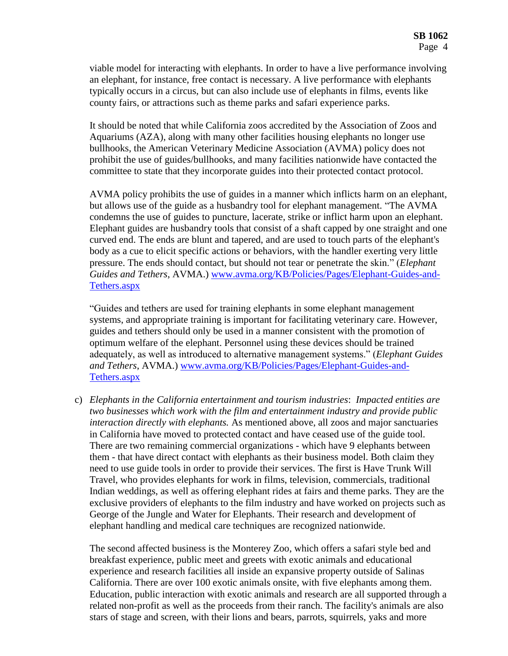viable model for interacting with elephants. In order to have a live performance involving an elephant, for instance, free contact is necessary. A live performance with elephants typically occurs in a circus, but can also include use of elephants in films, events like county fairs, or attractions such as theme parks and safari experience parks.

It should be noted that while California zoos accredited by the Association of Zoos and Aquariums (AZA), along with many other facilities housing elephants no longer use bullhooks, the American Veterinary Medicine Association (AVMA) policy does not prohibit the use of guides/bullhooks, and many facilities nationwide have contacted the committee to state that they incorporate guides into their protected contact protocol.

AVMA policy prohibits the use of guides in a manner which inflicts harm on an elephant, but allows use of the guide as a husbandry tool for elephant management. "The AVMA condemns the use of guides to puncture, lacerate, strike or inflict harm upon an elephant. Elephant guides are husbandry tools that consist of a shaft capped by one straight and one curved end. The ends are blunt and tapered, and are used to touch parts of the elephant's body as a cue to elicit specific actions or behaviors, with the handler exerting very little pressure. The ends should contact, but should not tear or penetrate the skin." (*Elephant Guides and Tethers*, AVMA.) [www.avma.org/KB/Policies/Pages/Elephant-Guides-and-](http://www.avma.org/KB/Policies/Pages/Elephant-Guides-and-Tethers.aspx)[Tethers.aspx](http://www.avma.org/KB/Policies/Pages/Elephant-Guides-and-Tethers.aspx)

"Guides and tethers are used for training elephants in some elephant management systems, and appropriate training is important for facilitating veterinary care. However, guides and tethers should only be used in a manner consistent with the promotion of optimum welfare of the elephant. Personnel using these devices should be trained adequately, as well as introduced to alternative management systems." (*Elephant Guides and Tethers*, AVMA.) [www.avma.org/KB/Policies/Pages/Elephant-Guides-and-](http://www.avma.org/KB/Policies/Pages/Elephant-Guides-and-Tethers.aspx)[Tethers.aspx](http://www.avma.org/KB/Policies/Pages/Elephant-Guides-and-Tethers.aspx)

c) *Elephants in the California entertainment and tourism industries*: *Impacted entities are two businesses which work with the film and entertainment industry and provide public interaction directly with elephants.* As mentioned above, all zoos and major sanctuaries in California have moved to protected contact and have ceased use of the guide tool. There are two remaining commercial organizations - which have 9 elephants between them - that have direct contact with elephants as their business model. Both claim they need to use guide tools in order to provide their services. The first is Have Trunk Will Travel, who provides elephants for work in films, television, commercials, traditional Indian weddings, as well as offering elephant rides at fairs and theme parks. They are the exclusive providers of elephants to the film industry and have worked on projects such as George of the Jungle and Water for Elephants. Their research and development of elephant handling and medical care techniques are recognized nationwide.

The second affected business is the Monterey Zoo, which offers a safari style bed and breakfast experience, public meet and greets with exotic animals and educational experience and research facilities all inside an expansive property outside of Salinas California. There are over 100 exotic animals onsite, with five elephants among them. Education, public interaction with exotic animals and research are all supported through a related non-profit as well as the proceeds from their ranch. The facility's animals are also stars of stage and screen, with their lions and bears, parrots, squirrels, yaks and more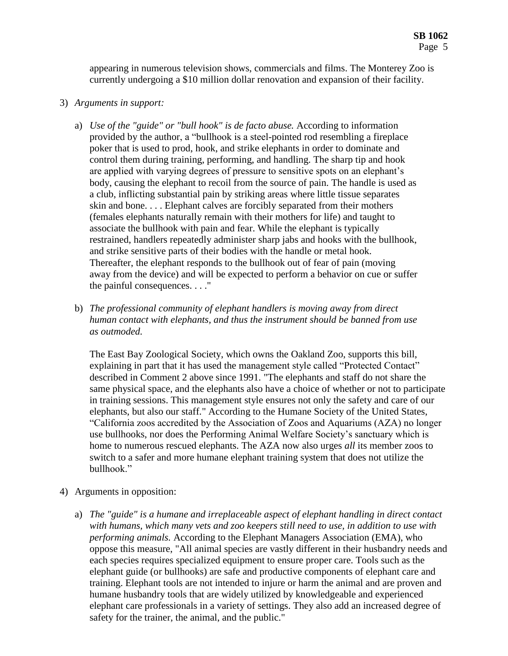appearing in numerous television shows, commercials and films. The Monterey Zoo is currently undergoing a \$10 million dollar renovation and expansion of their facility.

- 3) *Arguments in support:* 
	- a) *Use of the "guide" or "bull hook" is de facto abuse.* According to information provided by the author, a "bullhook is a steel-pointed rod resembling a fireplace poker that is used to prod, hook, and strike elephants in order to dominate and control them during training, performing, and handling. The sharp tip and hook are applied with varying degrees of pressure to sensitive spots on an elephant's body, causing the elephant to recoil from the source of pain. The handle is used as a club, inflicting substantial pain by striking areas where little tissue separates skin and bone. . . . Elephant calves are forcibly separated from their mothers (females elephants naturally remain with their mothers for life) and taught to associate the bullhook with pain and fear. While the elephant is typically restrained, handlers repeatedly administer sharp jabs and hooks with the bullhook, and strike sensitive parts of their bodies with the handle or metal hook. Thereafter, the elephant responds to the bullhook out of fear of pain (moving away from the device) and will be expected to perform a behavior on cue or suffer the painful consequences. . . ."
	- b) *The professional community of elephant handlers is moving away from direct human contact with elephants, and thus the instrument should be banned from use as outmoded.*

The East Bay Zoological Society, which owns the Oakland Zoo, supports this bill, explaining in part that it has used the management style called "Protected Contact" described in Comment 2 above since 1991. "The elephants and staff do not share the same physical space, and the elephants also have a choice of whether or not to participate in training sessions. This management style ensures not only the safety and care of our elephants, but also our staff." According to the Humane Society of the United States, "California zoos accredited by the Association of Zoos and Aquariums (AZA) no longer use bullhooks, nor does the Performing Animal Welfare Society's sanctuary which is home to numerous rescued elephants. The AZA now also urges *all* its member zoos to switch to a safer and more humane elephant training system that does not utilize the bullhook."

- 4) Arguments in opposition:
	- a) *The "guide" is a humane and irreplaceable aspect of elephant handling in direct contact with humans, which many vets and zoo keepers still need to use, in addition to use with performing animals.* According to the Elephant Managers Association (EMA), who oppose this measure, "All animal species are vastly different in their husbandry needs and each species requires specialized equipment to ensure proper care. Tools such as the elephant guide (or bullhooks) are safe and productive components of elephant care and training. Elephant tools are not intended to injure or harm the animal and are proven and humane husbandry tools that are widely utilized by knowledgeable and experienced elephant care professionals in a variety of settings. They also add an increased degree of safety for the trainer, the animal, and the public."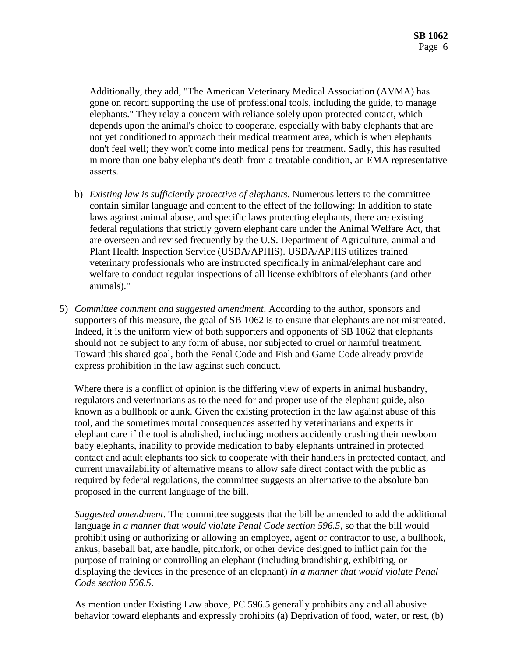Additionally, they add, "The American Veterinary Medical Association (AVMA) has gone on record supporting the use of professional tools, including the guide, to manage elephants." They relay a concern with reliance solely upon protected contact, which depends upon the animal's choice to cooperate, especially with baby elephants that are not yet conditioned to approach their medical treatment area, which is when elephants don't feel well; they won't come into medical pens for treatment. Sadly, this has resulted in more than one baby elephant's death from a treatable condition, an EMA representative asserts.

- b) *Existing law is sufficiently protective of elephants*. Numerous letters to the committee contain similar language and content to the effect of the following: In addition to state laws against animal abuse, and specific laws protecting elephants, there are existing federal regulations that strictly govern elephant care under the Animal Welfare Act, that are overseen and revised frequently by the U.S. Department of Agriculture, animal and Plant Health Inspection Service (USDA/APHIS). USDA/APHIS utilizes trained veterinary professionals who are instructed specifically in animal/elephant care and welfare to conduct regular inspections of all license exhibitors of elephants (and other animals)."
- 5) *Committee comment and suggested amendment*. According to the author, sponsors and supporters of this measure, the goal of SB 1062 is to ensure that elephants are not mistreated. Indeed, it is the uniform view of both supporters and opponents of SB 1062 that elephants should not be subject to any form of abuse, nor subjected to cruel or harmful treatment. Toward this shared goal, both the Penal Code and Fish and Game Code already provide express prohibition in the law against such conduct.

Where there is a conflict of opinion is the differing view of experts in animal husbandry, regulators and veterinarians as to the need for and proper use of the elephant guide, also known as a bullhook or aunk. Given the existing protection in the law against abuse of this tool, and the sometimes mortal consequences asserted by veterinarians and experts in elephant care if the tool is abolished, including; mothers accidently crushing their newborn baby elephants, inability to provide medication to baby elephants untrained in protected contact and adult elephants too sick to cooperate with their handlers in protected contact, and current unavailability of alternative means to allow safe direct contact with the public as required by federal regulations, the committee suggests an alternative to the absolute ban proposed in the current language of the bill.

*Suggested amendment*. The committee suggests that the bill be amended to add the additional language *in a manner that would violate Penal Code section 596.5,* so that the bill would prohibit using or authorizing or allowing an employee, agent or contractor to use, a bullhook, ankus, baseball bat, axe handle, pitchfork, or other device designed to inflict pain for the purpose of training or controlling an elephant (including brandishing, exhibiting, or displaying the devices in the presence of an elephant) *in a manner that would violate Penal Code section 596.5*.

As mention under Existing Law above, PC 596.5 generally prohibits any and all abusive behavior toward elephants and expressly prohibits (a) Deprivation of food, water, or rest, (b)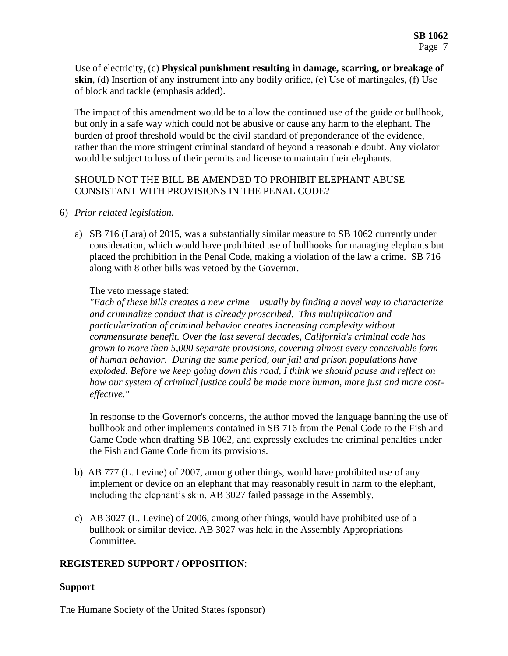Use of electricity, (c) **Physical punishment resulting in damage, scarring, or breakage of skin**, (d) Insertion of any instrument into any bodily orifice, (e) Use of martingales, (f) Use of block and tackle (emphasis added).

The impact of this amendment would be to allow the continued use of the guide or bullhook, but only in a safe way which could not be abusive or cause any harm to the elephant. The burden of proof threshold would be the civil standard of preponderance of the evidence, rather than the more stringent criminal standard of beyond a reasonable doubt. Any violator would be subject to loss of their permits and license to maintain their elephants.

## SHOULD NOT THE BILL BE AMENDED TO PROHIBIT ELEPHANT ABUSE CONSISTANT WITH PROVISIONS IN THE PENAL CODE?

- 6) *Prior related legislation.*
	- a) SB 716 (Lara) of 2015, was a substantially similar measure to SB 1062 currently under consideration, which would have prohibited use of bullhooks for managing elephants but placed the prohibition in the Penal Code, making a violation of the law a crime. SB 716 along with 8 other bills was vetoed by the Governor.

#### The veto message stated:

*"Each of these bills creates a new crime – usually by finding a novel way to characterize and criminalize conduct that is already proscribed. This multiplication and particularization of criminal behavior creates increasing complexity without commensurate benefit. Over the last several decades, California's criminal code has grown to more than 5,000 separate provisions, covering almost every conceivable form of human behavior. During the same period, our jail and prison populations have exploded. Before we keep going down this road, I think we should pause and reflect on how our system of criminal justice could be made more human, more just and more costeffective."*

In response to the Governor's concerns, the author moved the language banning the use of bullhook and other implements contained in SB 716 from the Penal Code to the Fish and Game Code when drafting SB 1062, and expressly excludes the criminal penalties under the Fish and Game Code from its provisions.

- b) AB 777 (L. Levine) of 2007, among other things, would have prohibited use of any implement or device on an elephant that may reasonably result in harm to the elephant, including the elephant's skin. AB 3027 failed passage in the Assembly.
- c) AB 3027 (L. Levine) of 2006, among other things, would have prohibited use of a bullhook or similar device. AB 3027 was held in the Assembly Appropriations Committee.

### **REGISTERED SUPPORT / OPPOSITION**:

### **Support**

The Humane Society of the United States (sponsor)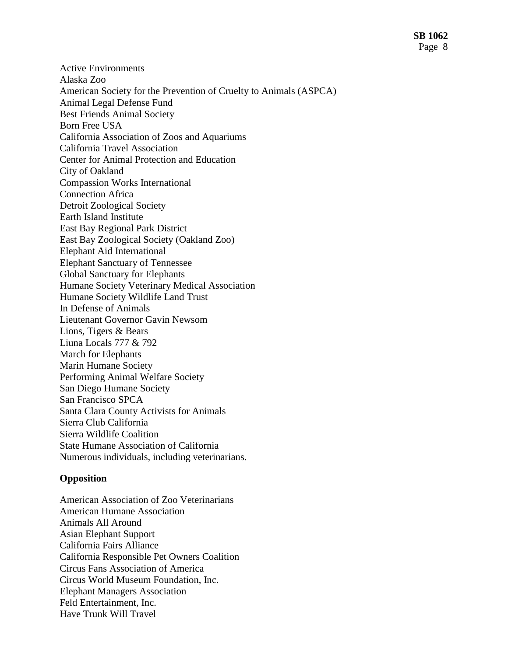Active Environments Alaska Zoo American Society for the Prevention of Cruelty to Animals (ASPCA) Animal Legal Defense Fund Best Friends Animal Society Born Free USA California Association of Zoos and Aquariums California Travel Association Center for Animal Protection and Education City of Oakland Compassion Works International Connection Africa Detroit Zoological Society Earth Island Institute East Bay Regional Park District East Bay Zoological Society (Oakland Zoo) Elephant Aid International Elephant Sanctuary of Tennessee Global Sanctuary for Elephants Humane Society Veterinary Medical Association Humane Society Wildlife Land Trust In Defense of Animals Lieutenant Governor Gavin Newsom Lions, Tigers & Bears Liuna Locals 777 & 792 March for Elephants Marin Humane Society Performing Animal Welfare Society San Diego Humane Society San Francisco SPCA Santa Clara County Activists for Animals Sierra Club California Sierra Wildlife Coalition State Humane Association of California Numerous individuals, including veterinarians.

#### **Opposition**

American Association of Zoo Veterinarians American Humane Association Animals All Around Asian Elephant Support California Fairs Alliance California Responsible Pet Owners Coalition Circus Fans Association of America Circus World Museum Foundation, Inc. Elephant Managers Association Feld Entertainment, Inc. Have Trunk Will Travel